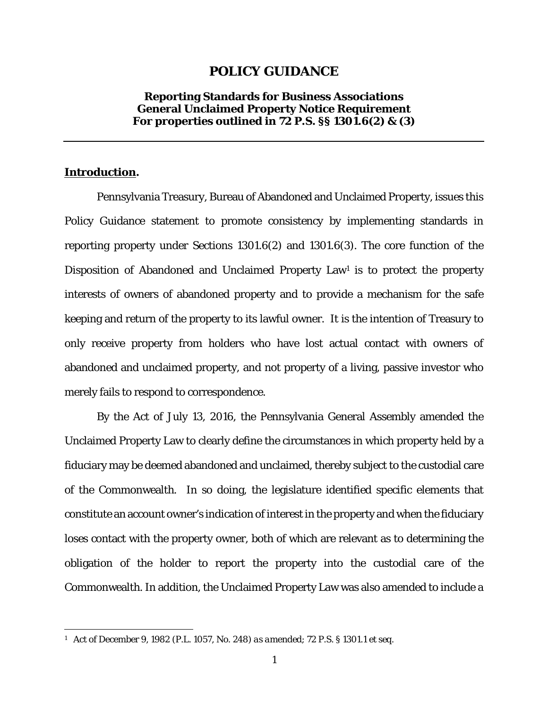# **POLICY GUIDANCE**

## **Reporting Standards for Business Associations General Unclaimed Property Notice Requirement For properties outlined in 72 P.S. §§ 1301.6(2) & (3)**

# **Introduction.**

l

Pennsylvania Treasury, Bureau of Abandoned and Unclaimed Property, issues this Policy Guidance statement to promote consistency by implementing standards in reporting property under Sections 1301.6(2) and 1301.6(3). The core function of the Disposition of Abandoned and Unclaimed Property Law<sup>1</sup> is to protect the property interests of owners of abandoned property and to provide a mechanism for the safe keeping and return of the property to its lawful owner. It is the intention of Treasury to only receive property from holders who have lost actual contact with owners of abandoned and unclaimed property, and not property of a living, passive investor who merely fails to respond to correspondence.

By the Act of July 13, 2016, the Pennsylvania General Assembly amended the Unclaimed Property Law to clearly define the circumstances in which property held by a fiduciary may be deemed abandoned and unclaimed, thereby subject to the custodial care of the Commonwealth. In so doing, the legislature identified specific elements that constitute an account owner's indication of interest in the property and when the fiduciary loses contact with the property owner, both of which are relevant as to determining the obligation of the holder to report the property into the custodial care of the Commonwealth. In addition, the Unclaimed Property Law was also amended to include a

<sup>1</sup> Act of December 9, 1982 (P.L. 1057, No. 248) *as amended*; 72 P.S. § 1301.1 *et seq*.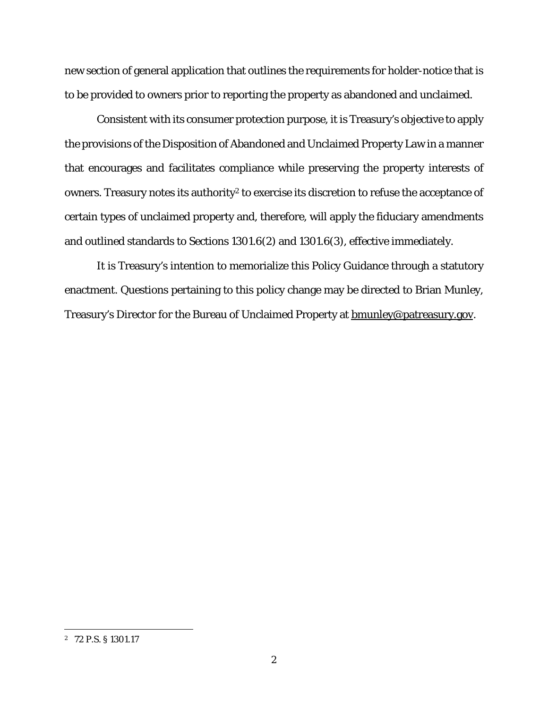new section of general application that outlines the requirements for holder-notice that is to be provided to owners prior to reporting the property as abandoned and unclaimed.

Consistent with its consumer protection purpose, it is Treasury's objective to apply the provisions of the Disposition of Abandoned and Unclaimed Property Law in a manner that encourages and facilitates compliance while preserving the property interests of owners. Treasury notes its authority<sup>2</sup> to exercise its discretion to refuse the acceptance of certain types of unclaimed property and, therefore, will apply the fiduciary amendments and outlined standards to Sections 1301.6(2) and 1301.6(3), effective immediately.

It is Treasury's intention to memorialize this Policy Guidance through a statutory enactment. Questions pertaining to this policy change may be directed to Brian Munley, Treasury's Director for the Bureau of Unclaimed Property at **bmunley@patreasury.gov.** 

l

<sup>2 72</sup> P.S. § 1301.17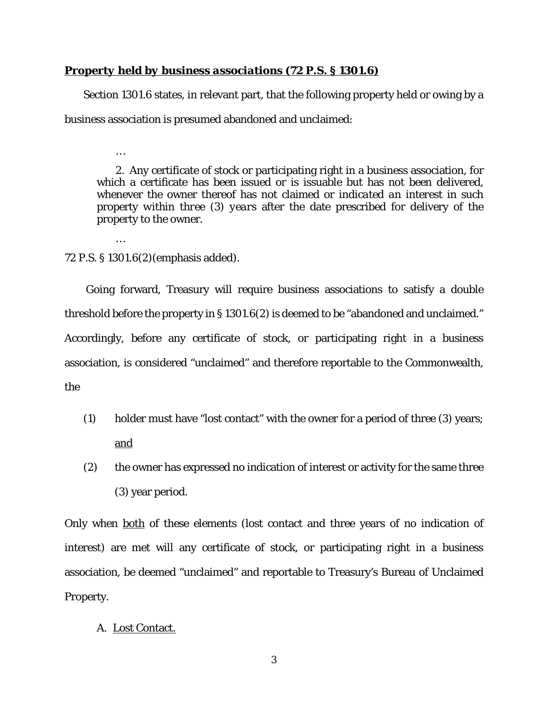## *Property held by business associations (72 P.S. § 1301.6)*

Section 1301.6 states, in relevant part, that the following property held or owing by a business association is presumed abandoned and unclaimed:

…

…

2. Any certificate of stock or participating right in a business association, for which a certificate has been issued or is issuable but has not been delivered, whenever the owner thereof has not claimed or *indicated an interest* in such property *within three (3) years* after the date prescribed for delivery of the property to the owner.

72 P.S. § 1301.6(2)(emphasis added).

Going forward, Treasury will require business associations to satisfy a double threshold before the property in § 1301.6(2) is deemed to be "abandoned and unclaimed." Accordingly, before any certificate of stock, or participating right in a business association, is considered "unclaimed" and therefore reportable to the Commonwealth, the

- (1) holder must have "lost contact" with the owner for a period of three (3) years; and
- (2) the owner has expressed no indication of interest or activity for the same three (3) year period.

Only when both of these elements (lost contact and three years of no indication of interest) are met will any certificate of stock, or participating right in a business association, be deemed "unclaimed" and reportable to Treasury's Bureau of Unclaimed Property.

## A. Lost Contact.

3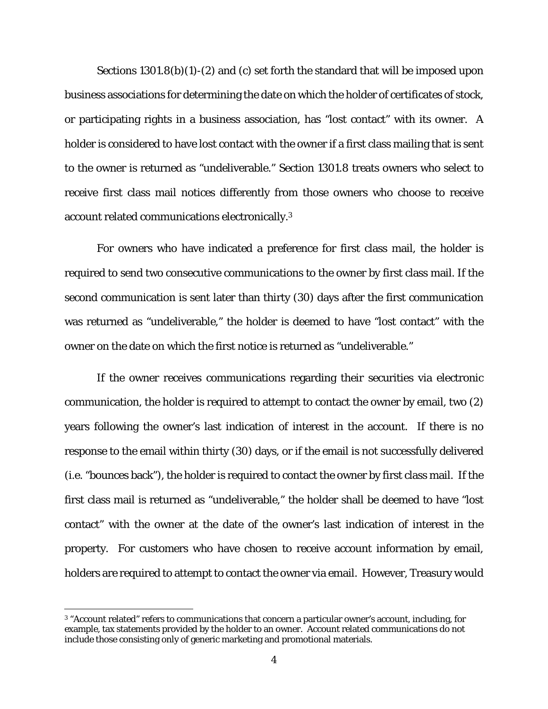Sections 1301.8(b)(1)-(2) and (c) set forth the standard that will be imposed upon business associations for determining the date on which the holder of certificates of stock, or participating rights in a business association, has "lost contact" with its owner. A holder is considered to have lost contact with the owner if a first class mailing that is sent to the owner is returned as "undeliverable." Section 1301.8 treats owners who select to receive first class mail notices differently from those owners who choose to receive account related communications electronically.3

For owners who have indicated a preference for first class mail, the holder is required to send two consecutive communications to the owner by first class mail. If the second communication is sent later than thirty (30) days after the first communication was returned as "undeliverable," the holder is deemed to have "lost contact" with the owner on the date on which the first notice is returned as "undeliverable."

If the owner receives communications regarding their securities via electronic communication, the holder is required to attempt to contact the owner by email, two (2) years following the owner's last indication of interest in the account. If there is no response to the email within thirty (30) days, or if the email is not successfully delivered (i.e. "bounces back"), the holder is required to contact the owner by first class mail. If the first class mail is returned as "undeliverable," the holder shall be deemed to have "lost contact" with the owner at the date of the owner's last indication of interest in the property. For customers who have chosen to receive account information by email, holders are required to attempt to contact the owner via email. However, Treasury would

 $\overline{\phantom{a}}$ 

<sup>3</sup> "Account related" refers to communications that concern a particular owner's account, including, for example, tax statements provided by the holder to an owner. Account related communications do not include those consisting only of generic marketing and promotional materials.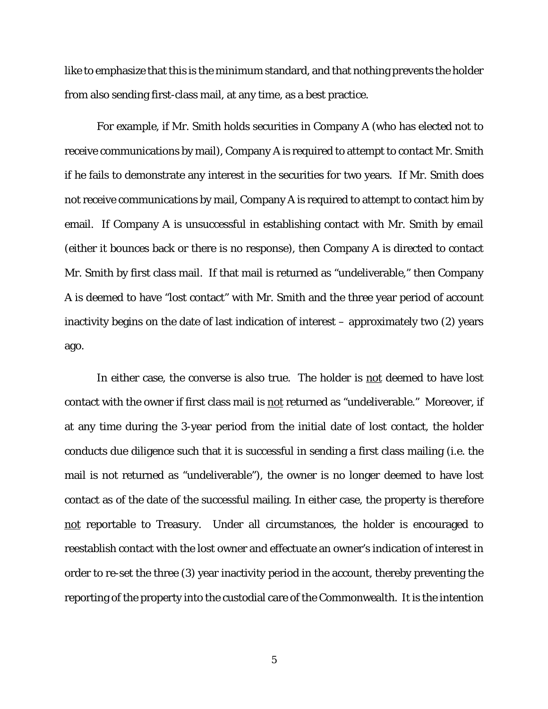like to emphasize that this is the *minimum* standard, and that nothing prevents the holder from also sending first-class mail, at any time, as a best practice.

For example, if Mr. Smith holds securities in Company A (who has elected not to receive communications by mail), Company A is required to attempt to contact Mr. Smith if he fails to demonstrate any interest in the securities for two years. If Mr. Smith does not receive communications by mail, Company A is required to attempt to contact him by email. If Company A is unsuccessful in establishing contact with Mr. Smith by email (either it bounces back or there is no response), then Company A is directed to contact Mr. Smith by first class mail. If that mail is returned as "undeliverable," then Company A is deemed to have "lost contact" with Mr. Smith and the three year period of account inactivity begins on the date of last indication of interest – approximately two (2) years ago.

In either case, the converse is also true. The holder is not deemed to have lost contact with the owner if first class mail is not returned as "undeliverable." Moreover, if at any time during the 3-year period from the initial date of lost contact, the holder conducts due diligence such that it is successful in sending a first class mailing (i.e. the mail is not returned as "undeliverable"), the owner is no longer deemed to have lost contact as of the date of the successful mailing. In either case, the property is therefore not reportable to Treasury. Under all circumstances, the holder is encouraged to reestablish contact with the lost owner and effectuate an owner's indication of interest in order to re-set the three (3) year inactivity period in the account, thereby preventing the reporting of the property into the custodial care of the Commonwealth. It is the intention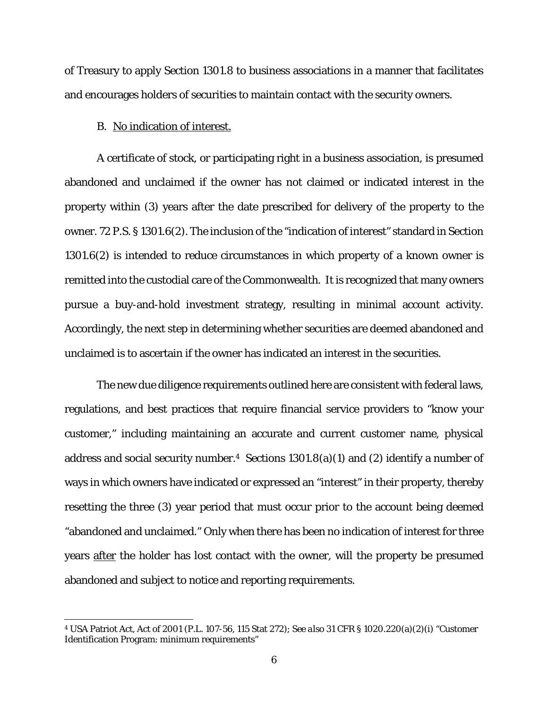of Treasury to apply Section 1301.8 to business associations in a manner that facilitates and encourages holders of securities to maintain contact with the security owners.

#### B. No indication of interest.

l

A certificate of stock, or participating right in a business association, is presumed abandoned and unclaimed if the owner has not claimed or indicated interest in the property within (3) years after the date prescribed for delivery of the property to the owner. 72 P.S. § 1301.6(2). The inclusion of the "indication of interest" standard in Section 1301.6(2) is intended to reduce circumstances in which property of a known owner is remitted into the custodial care of the Commonwealth. It is recognized that many owners pursue a buy-and-hold investment strategy, resulting in minimal account activity. Accordingly, the next step in determining whether securities are deemed abandoned and unclaimed is to ascertain if the owner has indicated an interest in the securities.

The new due diligence requirements outlined here are consistent with federal laws, regulations, and best practices that require financial service providers to "know your customer," including maintaining an accurate and current customer name, physical address and social security number.<sup>4</sup> Sections  $1301.8(a)(1)$  and (2) identify a number of ways in which owners have indicated or expressed an "interest" in their property, thereby resetting the three (3) year period that must occur prior to the account being deemed "abandoned and unclaimed." Only when there has been no indication of interest for three years after the holder has lost contact with the owner, will the property be presumed abandoned and subject to notice and reporting requirements.

<sup>4</sup> USA Patriot Act, Act of 2001 (P.L. 107-56, 115 Stat 272); *See also* 31 CFR § 1020.220(a)(2)(i) "Customer Identification Program: minimum requirements"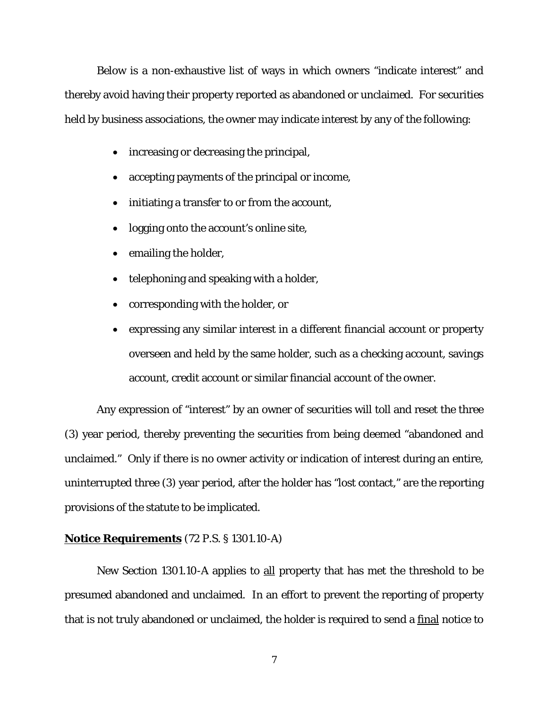Below is a non-exhaustive list of ways in which owners "indicate interest" and thereby avoid having their property reported as abandoned or unclaimed. For securities held by business associations, the owner may indicate interest by any of the following:

- increasing or decreasing the principal,
- accepting payments of the principal or income,
- initiating a transfer to or from the account,
- logging onto the account's online site,
- emailing the holder,
- telephoning and speaking with a holder,
- corresponding with the holder, or
- expressing any similar interest in a different financial account or property overseen and held by the same holder, such as a checking account, savings account, credit account or similar financial account of the owner.

Any expression of "interest" by an owner of securities will toll and reset the three (3) year period, thereby preventing the securities from being deemed "abandoned and unclaimed." Only if there is no owner activity or indication of interest during an entire, uninterrupted three (3) year period, after the holder has "lost contact," are the reporting provisions of the statute to be implicated.

### **Notice Requirements** (72 P.S. § 1301.10-A)

New Section 1301.10-A applies to all property that has met the threshold to be presumed abandoned and unclaimed. In an effort to prevent the reporting of property that is not truly abandoned or unclaimed, the holder is required to send a final notice to